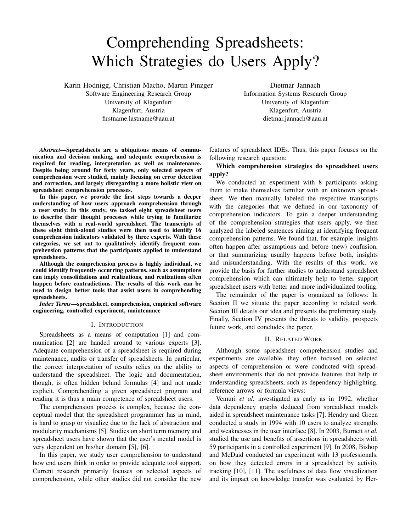# Comprehending Spreadsheets: Which Strategies do Users Apply?

Karin Hodnigg, Christian Macho, Martin Pinzger

Software Engineering Research Group University of Klagenfurt Klagenfurt, Austria firstname.lastname@aau.at

Dietmar Jannach Information Systems Research Group University of Klagenfurt Klagenfurt, Austria dietmar.jannach@aau.at

*Abstract*—Spreadsheets are a ubiquitous means of communication and decision making, and adequate comprehension is required for reading, interpretation as well as maintenance. Despite being around for forty years, only selected aspects of comprehension were studied, mainly focusing on error detection and correction, and largely disregarding a more holistic view on spreadsheet comprehension processes.

In this paper, we provide the first steps towards a deeper understanding of how users approach comprehension through a user study. In this study, we tasked eight spreadsheet users to describe their thought processes while trying to familiarize themselves with a real-world spreadsheet. The transcripts of these eight think-aloud studies were then used to identify 16 comprehension indicators validated by three experts. With these categories, we set out to qualitatively identify frequent comprehension patterns that the participants applied to understand spreadsheets.

Although the comprehension process is highly individual, we could identify frequently occurring patterns, such as assumptions can imply consolidations and realizations, and realizations often happen before contradictions. The results of this work can be used to design better tools that assist users in comprehending spreadsheets.

*Index Terms*—spreadsheet, comprehension, empirical software engineering, controlled experiment, maintenance

#### I. INTRODUCTION

Spreadsheets as a means of computation [1] and communication [2] are handed around to various experts [3]. Adequate comprehension of a spreadsheet is required during maintenance, audits or transfer of spreadsheets. In particular, the correct interpretation of results relies on the ability to understand the spreadsheet. The logic and documentation, though, is often hidden behind formulas [4] and not made explicit. Comprehending a given spreadsheet program and reading it is thus a main competence of spreadsheet users.

The comprehension process is complex, because the conceptual model that the spreadsheet programmer has in mind, is hard to grasp or visualize due to the lack of abstraction and modularity mechanisms [5]. Studies on short term memory and spreadsheet users have shown that the user's mental model is very dependent on his/her domain [5], [6].

In this paper, we study user comprehension to understand how end users think in order to provide adequate tool support. Current research primarily focuses on selected aspects of comprehension, while other studies did not consider the new features of spreadsheet IDEs. Thus, this paper focuses on the following research question:

Which comprehension strategies do spreadsheet users apply?

We conducted an experiment with 8 participants asking them to make themselves familiar with an unknown spreadsheet. We then manually labeled the respective transcripts with the categories that we defined in our taxonomy of comprehension indicators. To gain a deeper understanding of the comprehension strategies that users apply, we then analyzed the labeled sentences aiming at identifying frequent comprehension patterns. We found that, for example, insights often happen after assumptions and before (new) confusion, or that summarizing usually happens before both, insights and misunderstanding. With the results of this work, we provide the basis for further studies to understand spreadsheet comprehension which can ultimately help to better support spreadsheet users with better and more individualized tooling.

The remainder of the paper is organized as follows: In Section II we situate the paper according to related work. Section III details our idea and presents the preliminary study. Finally, Section IV presents the threats to validity, prospects future work, and concludes the paper.

# II. RELATED WORK

Although some spreadsheet comprehension studies and experiments are available, they often focused on selected aspects of comprehension or were conducted with spreadsheet environments that do not provide features that help in understanding spreadsheets, such as dependency highlighting, reference arrows or formula views:

Vemuri *et al.* investigated as early as in 1992, whether data dependency graphs deduced from spreadsheet models aided in spreadsheet maintenance tasks [7]. Hendry and Green conducted a study in 1994 with 10 users to analyze strengths and weaknesses in the user interface [8]. In 2003, Burnett *et al.* studied the use and benefits of assertions in spreadsheets with 59 participants in a controlled experiment [9]. In 2008, Bishop and McDaid conducted an experiment with 13 professionals, on how they detected errors in a spreadsheet by activity tracking [10], [11]. The usefulness of data flow visualization and its impact on knowledge transfer was evaluated by Her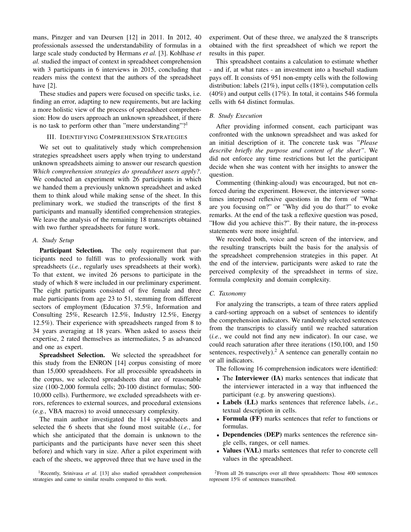mans, Pinzger and van Deursen [12] in 2011. In 2012, 40 professionals assessed the understandability of formulas in a large scale study conducted by Hermans *et al.* [3]. Kohlhase *et al.* studied the impact of context in spreadsheet comprehension with 3 participants in 6 interviews in 2015, concluding that readers miss the context that the authors of the spreadsheet have [2].

These studies and papers were focused on specific tasks, i.e. finding an error, adapting to new requirements, but are lacking a more holistic view of the process of spreadsheet comprehension: How do users approach an unknown spreadsheet, if there is no task to perform other than "mere understanding"?

# III. IDENTIFYING COMPREHENSION STRATEGIES

We set out to qualitatively study which comprehension strategies spreadsheet users apply when trying to understand unknown spreadsheets aiming to answer our research question *Which comprehension strategies do spreadsheet users apply?*. We conducted an experiment with 26 participants in which we handed them a previously unknown spreadsheet and asked them to think aloud while making sense of the sheet. In this preliminary work, we studied the transcripts of the first 8 participants and manually identified comprehension strategies. We leave the analysis of the remaining 18 transcripts obtained with two further spreadsheets for future work.

#### *A. Study Setup*

Participant Selection. The only requirement that participants need to fulfill was to professionally work with spreadsheets (*i.e.*, regularly uses spreadsheets at their work). To that extent, we invited 26 persons to participate in the study of which 8 were included in our preliminary experiment. The eight participants consisted of five female and three male participants from age 23 to 51, stemming from different sectors of employment (Education 37.5%, Information and Consulting 25%, Research 12.5%, Industry 12.5%, Energy 12.5%). Their experience with spreadsheets ranged from 8 to 34 years averaging at 18 years. When asked to assess their expertise, 2 rated themselves as intermediates, 5 as advanced and one as expert.

Spreadsheet Selection. We selected the spreadsheet for this study from the ENRON [14] corpus consisting of more than 15,000 spreadsheets. For all processible spreadsheets in the corpus, we selected spreadsheets that are of reasonable size (100-2,000 formula cells; 20-100 distinct formulas; 500- 10,000 cells). Furthermore, we excluded spreadsheets with errors, references to external sources, and procedural extensions (*e.g.*, VBA macros) to avoid unnecessary complexity.

The main author investigated the 114 spreadsheets and selected the 6 sheets that she found most suitable (*i.e.*, for which she anticipated that the domain is unknown to the participants and the participants have never seen this sheet before) and which vary in size. After a pilot experiment with each of the sheets, we approved three that we have used in the

<sup>1</sup>Recently, Srinivasa *et al.* [13] also studied spreadsheet comprehension strategies and came to similar results compared to this work.

experiment. Out of these three, we analyzed the 8 transcripts obtained with the first spreadsheet of which we report the results in this paper.

This spreadsheet contains a calculation to estimate whether - and if, at what rates - an investment into a baseball stadium pays off. It consists of 951 non-empty cells with the following distribution: labels (21%), input cells (18%), computation cells (40%) and output cells (17%). In total, it contains 546 formula cells with 64 distinct formulas.

# *B. Study Execution*

After providing informed consent, each participant was confronted with the unknown spreadsheet and was asked for an initial description of it. The concrete task was *"Please describe briefly the purpose and content of the sheet"*. We did not enforce any time restrictions but let the participant decide when she was content with her insights to answer the question.

Commenting (thinking-aloud) was encouraged, but not enforced during the experiment. However, the interviewer sometimes interposed reflexive questions in the form of "What are you focusing on?" or "Why did you do that?" to evoke remarks. At the end of the task a reflexive question was posed, "How did you achieve this?". By their nature, the in-process statements were more insightful.

We recorded both, voice and screen of the interview, and the resulting transcripts built the basis for the analysis of the spreadsheet comprehension strategies in this paper. At the end of the interview, participants were asked to rate the perceived complexity of the spreadsheet in terms of size, formula complexity and domain complexity.

#### *C. Taxonomy*

For analyzing the transcripts, a team of three raters applied a card-sorting approach on a subset of sentences to identify the comprehension indicators. We randomly selected sentences from the transcripts to classify until we reached saturation (*i.e.*, we could not find any new indicator). In our case, we could reach saturation after three iterations (150,100, and 150 sentences, respectively).<sup>2</sup> A sentence can generally contain no or all indicators.

The following 16 comprehension indicators were identified:

- The Interviewer (IA) marks sentences that indicate that the interviewer interacted in a way that influenced the participant (e.g. by answering questions).
- Labels (LL) marks sentences that reference labels, *i.e.*, textual description in cells.
- Formula (FF) marks sentences that refer to functions or formulas.
- Dependencies (DEP) marks sentences the reference single cells, ranges, or cell names.
- Values (VAL) marks sentences that refer to concrete cell values in the spreadsheet.

<sup>&</sup>lt;sup>2</sup>From all 26 transcripts over all three spreadsheets: Those 400 sentences represent 15% of sentences transcribed.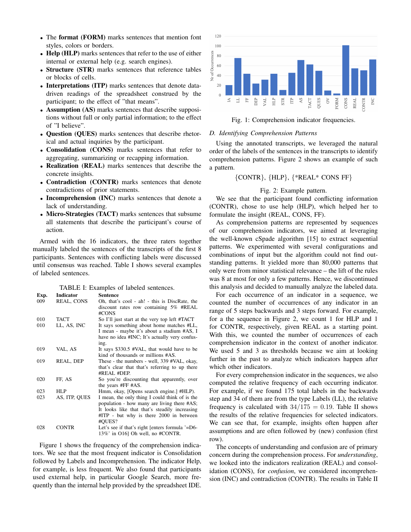- The format (FORM) marks sentences that mention font styles, colors or borders.
- Help (HLP) marks sentences that refer to the use of either internal or external help (e.g. search engines).
- Structure (STR) marks sentences that reference tables or blocks of cells.
- Interpretations (ITP) marks sentences that denote datadriven readings of the spreadsheet construed by the participant; to the effect of "that means".
- Assumption (AS) marks sentences that describe suppositions without full or only partial information; to the effect of "I believe".
- Question (QUES) marks sentences that describe rhetorical and actual inquiries by the participant.
- Consolidation (CONS) marks sentences that refer to aggregating, summarizing or recapping information.
- Realization (REAL) marks sentences that describe the concrete insights.
- Contradiction (CONTR) marks sentences that denote contradictions of prior statements.
- Incomprehension (INC) marks sentences that denote a lack of understanding.
- Micro-Strategies (TACT) marks sentences that subsume all statements that describe the participant's course of action.

Armed with the 16 indicators, the three raters together manually labeled the sentences of the transcripts of the first 8 participants. Sentences with conflicting labels were discussed until consensus was reached. Table I shows several examples of labeled sentences.

TABLE I: Examples of labeled sentences. Exp. Indicator Sentence 009 REAL, CONS Oh, that's cool - ah! - this is DiscRate, the discount rates row containing 5% #REAL #CONS 010 TACT So I'll just start at the very top left #TACT 010 LL, AS, INC It says something about home matches #LL, I mean - maybe it's about a stadium #AS, I have no idea #INC; It's actually very confusing. 019 VAL, AS It says \$330.5 #VAL, that would have to be kind of thousands or millions #AS. 019 REAL, DEP These - the numbers - well, 339 #VAL, okay, that's clear that that's referring to up there #REAL #DEP. 020 FF, AS So you're discounting that apparently, over the years #FF #AS. 023 HLP Hmm, okay, [Opens search engine.] #HLP).<br>023 AS, ITP, QUES I mean, the only thing I could think of is the 023 AS, ITP, QUES I mean, the only thing I could think of is the population - how many are living there #AS; It looks like that that's steadily increasing #ITP - but why is there 2000 in between #QUES? 028 CONTR Let's see if that's right [enters formula '=D6- 13%' in O16] Oh well, no #CONTR.

Figure 1 shows the frequency of the comprehension indicators. We see that the most frequent indicator is Consolidation followed by Labels and Incomprehension. The indicator Help, for example, is less frequent. We also found that participants used external help, in particular Google Search, more frequently than the internal help provided by the spreadsheet IDE.



Fig. 1: Comprehension indicator frequencies.

### *D. Identifying Comprehension Patterns*

Using the annotated transcripts, we leveraged the natural order of the labels of the sentences in the transcripts to identify comprehension patterns. Figure 2 shows an example of such a pattern.

# {CONTR}, {HLP}, {\*REAL\* CONS FF}

#### Fig. 2: Example pattern.

We see that the participant found conflicting information (CONTR), chose to use help (HLP), which helped her to formulate the insight (REAL, CONS, FF).

As comprehension patterns are represented by sequences of our comprehension indicators, we aimed at leveraging the well-known cSpade algorithm [15] to extract sequential patterns. We experimented with several configurations and combinations of input but the algorithm could not find outstanding patterns. It yielded more than 80,000 patterns that only were from minor statistical relevance – the lift of the rules was 8 at most for only a few patterns. Hence, we discontinued this analysis and decided to manually analyze the labeled data.

For each occurrence of an indicator in a sequence, we counted the number of occurrences of any indicator in an range of 5 steps backwards and 3 steps forward. For example, for a the sequence in Figure 2, we count 1 for HLP and 1 for CONTR, respectively, given REAL as a starting point. With this, we counted the number of occurrences of each comprehension indicator in the context of another indicator. We used 5 and 3 as thresholds because we aim at looking further in the past to analyze which indicators happen after which other indicators.

For every comprehension indicator in the sequences, we also computed the relative frequency of each occurring indicator. For example, if we found 175 total labels in the backwards step and 34 of them are from the type Labels (LL), the relative frequency is calculated with  $34/175 = 0.19$ . Table II shows the results of the relative frequencies for selected indicators. We can see that, for example, insights often happen after assumptions and are often followed by (new) confusion (first row).

The concepts of understanding and confusion are of primary concern during the comprehension process. For *understanding*, we looked into the indicators realization (REAL) and consolidation (CONS), for *confusion*, we considered incomprehension (INC) and contradiction (CONTR). The results in Table II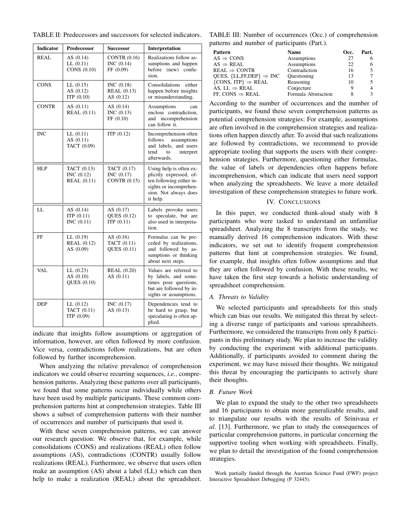| <b>Indicator</b> | <b>Predecessor</b>                                | <b>Successor</b>                                  | Interpretation                                                                                                                                |  |
|------------------|---------------------------------------------------|---------------------------------------------------|-----------------------------------------------------------------------------------------------------------------------------------------------|--|
| <b>REAL</b>      | AS $(0.14)$<br>LL(0.11)<br>CONS (0.10)            | CONTR $(0.16)$<br>INC (0.14)<br>FF (0.09)         | Realizations follow as-<br>sumptions and happen<br>before (new) confu-<br>sion.                                                               |  |
| <b>CONS</b>      | LL(0.15)<br>AS $(0.12)$<br>ITP $(0.10)$           | INC $(0.18)$<br><b>REAL</b> (0.13)<br>AS $(0.12)$ | Consolidations<br>either<br>happen before insights<br>or misunderstanding.                                                                    |  |
| <b>CONTR</b>     | AS $(0.11)$<br><b>REAL</b> (0.11)                 | AS $(0.14)$<br>INC $(0.13)$<br>FF(0.10)           | Assumptions<br>can<br>enclose contradiction,<br>and incomprehension<br>can follow it.                                                         |  |
| <b>INC</b>       | LL(0.11)<br>AS $(0.11)$<br>TACT (0.09)            | ITP(0.12)                                         | Incomprehension often<br>follows<br>assumptions<br>and labels, and users<br>tend<br>to<br>interpret<br>afterwards.                            |  |
| <b>HLP</b>       | TACT (0.13)<br>INC $(0.12)$<br><b>REAL</b> (0.11) | TACT (0.17)<br>INC (0.17)<br>CONTR $(0.15)$       | Using help is often ex-<br>plicitly expressed, of-<br>ten following either in-<br>sights or incomprehen-<br>sion. Not always does<br>it help. |  |
| LL               | AS $(0.14)$<br>ITP $(0.11)$<br>INC $(0.11)$       | AS $(0.17)$<br>QUES (0.12)<br>ITP $(0.11)$        | Labels provoke users<br>to speculate, but are<br>also used in interpreta-<br>tion.                                                            |  |
| FF               | LL(0.19)<br><b>REAL</b> (0.12)<br>AS (0.09)       | AS $(0.16)$<br>TACT (0.11)<br>QUES (0.11)         | Formulas can be pre-<br>ceded by realizations,<br>and followed by as-<br>sumptions or thinking<br>about next steps.                           |  |
| VAL              | LL(0.23)<br>AS $(0.10)$<br>QUES (0.10)            | <b>REAL</b> (0.20)<br>AS $(0.11)$                 | Values are referred to<br>by labels, and some-<br>times pose questions,<br>but are followed by in-<br>sights or assumptions.                  |  |
| DEP              | LL(0.12)<br>TACT (0.11)<br>ITP (0.09)             | INC (0.17)<br>AS $(0.13)$                         | Dependencies tend to<br>be hard to grasp, but<br>speculating is often ap-<br>plied.                                                           |  |

indicate that insights follow assumptions or aggregation of information, however, are often followed by more confusion. Vice versa, contradictions follow realizations, but are often followed by further incomprehension.

When analyzing the relative prevalence of comprehension indicators we could observe recurring sequences, *i.e.*, comprehension patterns. Analyzing these patterns over all participants, we found that some patterns occur individually while others have been used by multiple participants. These common comprehension patterns hint at comprehension strategies. Table III shows a subset of comprehension patterns with their number of occurrences and number of participants that used it.

With these seven comprehension patterns, we can answer our research question: We observe that, for example, while consolidations (CONS) and realizations (REAL) often follow assumptions (AS), contradictions (CONTR) usually follow realizations (REAL). Furthermore, we observe that users often make an assumption (AS) about a label (LL) which can then help to make a realization (REAL) about the spreadsheet.

TABLE III: Number of occurrences (Occ.) of comprehension patterns and number of participants (Part.).

| Pattern                                 | <b>Name</b>         | Occ. | Part.          |
|-----------------------------------------|---------------------|------|----------------|
| $AS \Rightarrow CONS$                   | Assumptions         | 27   | 6              |
| $AS \Rightarrow REAL$                   | Assumptions         | 22   | 6              |
| $\tt REAL \Rightarrow CONTR$            | Contradiction       | 16   | 5              |
| QUES, ${LL, FF, DEP} \Rightarrow INC$   | Questioning         | 13   | 7              |
| $\{cons, ITP\} \Rightarrow \text{REAL}$ | Reasoning           | 10   | 5              |
| AS, LL $\Rightarrow$ REAL               | Conjecture          |      | $\overline{4}$ |
| FF, CONS $\Rightarrow$ REAL             | Formula Abstraction |      | 3              |
|                                         |                     |      |                |

According to the number of occurrences and the number of participants, we found these seven comprehension patterns as potential comprehension strategies: For example, assumptions are often involved in the comprehension strategies and realizations often happen directly after. To avoid that such realizations are followed by contradictions, we recommend to provide appropriate tooling that supports the users with their comprehension strategies. Furthermore, questioning either formulas, the value of labels or dependencies often happens before incomprehension, which can indicate that users need support when analyzing the spreadsheets. We leave a more detailed investigation of these comprehension strategies to future work.

# IV. CONCLUSIONS

In this paper, we conducted think-aloud study with 8 participants who were tasked to understand an unfamiliar spreadsheet. Analyzing the 8 transcripts from the study, we manually derived 16 comprehension indicators. With these indicators, we set out to identify frequent comprehension patterns that hint at comprehension strategies. We found, for example, that insights often follow assumptions and that they are often followed by confusion. With these results, we have taken the first step towards a holistic understanding of spreadsheet comprehension.

#### *A. Threats to Validity*

We selected participants and spreadsheets for this study which can bias our results. We mitigated this threat by selecting a diverse range of participants and various spreadsheets. Furthermore, we considered the transcripts from only 8 participants in this preliminary study. We plan to increase the validity by conducting the experiment with additional participants. Additionally, if participants avoided to comment during the experiment, we may have missed their thoughts. We mitigated this threat by encouraging the participants to actively share their thoughts.

### *B. Future Work*

We plan to expand the study to the other two spreadsheets and 16 participants to obtain more generalizable results, and to triangulate our results with the results of Srinivasa *et al.* [13]. Furthermore, we plan to study the consequences of particular comprehension patterns, in particular concerning the supportive tooling when working with spreadsheets. Finally, we plan to detail the investigation of the found comprehension strategies.

Work partially funded through the Austrian Science Fund (FWF) project Interactive Spreadsheet Debugging (P 32445).